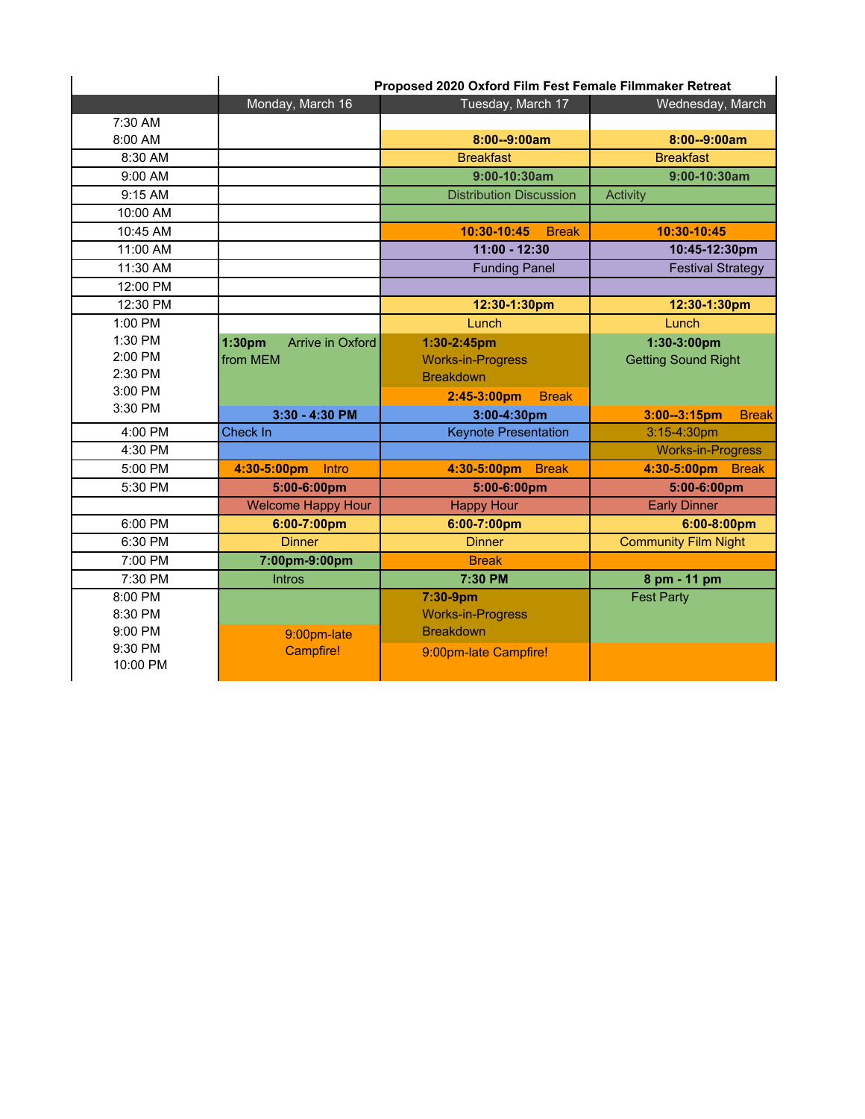|          | Proposed 2020 Oxford Film Fest Female Filmmaker Retreat |                                |                                  |
|----------|---------------------------------------------------------|--------------------------------|----------------------------------|
|          | Monday, March 16                                        | Tuesday, March 17              | Wednesday, March                 |
| 7:30 AM  |                                                         |                                |                                  |
| 8:00 AM  |                                                         | 8:00--9:00am                   | 8:00--9:00am                     |
| 8:30 AM  |                                                         | <b>Breakfast</b>               | <b>Breakfast</b>                 |
| 9:00 AM  |                                                         | $9:00-10:30am$                 | $9:00 - 10:30$ am                |
| 9:15 AM  |                                                         | <b>Distribution Discussion</b> | Activity                         |
| 10:00 AM |                                                         |                                |                                  |
| 10:45 AM |                                                         | 10:30-10:45<br><b>Break</b>    | 10:30-10:45                      |
| 11:00 AM |                                                         | $11:00 - 12:30$                | 10:45-12:30pm                    |
| 11:30 AM |                                                         | <b>Funding Panel</b>           | <b>Festival Strategy</b>         |
| 12:00 PM |                                                         |                                |                                  |
| 12:30 PM |                                                         | 12:30-1:30pm                   | 12:30-1:30pm                     |
| 1:00 PM  |                                                         | Lunch                          | Lunch                            |
| 1:30 PM  | 1:30 <sub>pm</sub><br>Arrive in Oxford                  | 1:30-2:45pm                    | 1:30-3:00pm                      |
| 2:00 PM  | from MEM                                                | <b>Works-in-Progress</b>       | <b>Getting Sound Right</b>       |
| 2:30 PM  |                                                         | <b>Breakdown</b>               |                                  |
| 3:00 PM  |                                                         | 2:45-3:00pm<br><b>Break</b>    |                                  |
| 3:30 PM  | 3:30 - 4:30 PM                                          | 3:00-4:30pm                    | $3:00 - 3:15$ pm<br><b>Break</b> |
| 4:00 PM  | Check In                                                | <b>Keynote Presentation</b>    | 3:15-4:30pm                      |
| 4:30 PM  |                                                         |                                | <b>Works-in-Progress</b>         |
| 5:00 PM  | Intro<br>4:30-5:00pm                                    | 4:30-5:00pm<br><b>Break</b>    | 4:30-5:00pm<br><b>Break</b>      |
| 5:30 PM  | 5:00-6:00pm                                             | 5:00-6:00pm                    | 5:00-6:00pm                      |
|          | <b>Welcome Happy Hour</b>                               | <b>Happy Hour</b>              | <b>Early Dinner</b>              |
| 6:00 PM  | 6:00-7:00pm                                             | 6:00-7:00pm                    | 6:00-8:00pm                      |
| 6:30 PM  | <b>Dinner</b>                                           | <b>Dinner</b>                  | <b>Community Film Night</b>      |
| 7:00 PM  | 7:00pm-9:00pm                                           | <b>Break</b>                   |                                  |
| 7:30 PM  | <b>Intros</b>                                           | 7:30 PM                        | 8 pm - 11 pm                     |
| 8:00 PM  |                                                         | 7:30-9pm                       | <b>Fest Party</b>                |
| 8:30 PM  |                                                         | <b>Works-in-Progress</b>       |                                  |
| 9:00 PM  | 9:00pm-late                                             | <b>Breakdown</b>               |                                  |
| 9:30 PM  | Campfire!                                               | 9:00pm-late Campfire!          |                                  |
| 10:00 PM |                                                         |                                |                                  |
|          |                                                         |                                |                                  |